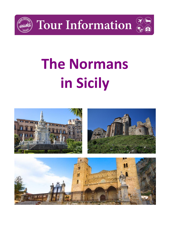

**Tour Information** 



# **The Normans in Sicily**

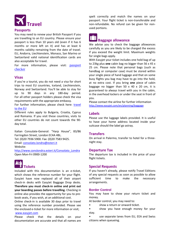

#### **Passports**

You may need to renew your British Passport if you are travelling to an EU country. Please ensure your passport is less than 10 years old (even if it has 6 months or more left on it) and has at least 6 months validity remaining from the date of travel. EU, Andorra, Liechtenstein, Monaco, San Marino or Switzerland valid national identification cards are also acceptable for travel.

For more information, please visit: **passport** [checker](https://www.gov.uk/visit-europe-1-january-2021?utm_medium=uktrav-partner&utm_source=social&utm_campaign=transition&utm_content=AITO)

# **Visas**

If you're a tourist, you do not need a visa for short trips to most EU countries, Iceland, Liechtenstein, Norway and Switzerland. You'll be able to stay for up to 90 days in any 180-day period. For all other passport holders please check the visa requirements with the appropriate embassy.

For further information, please check here: travel [to the EU](https://www.gov.uk/visit-europe-1-january-2021?utm_medium=uktrav-partner&utm_source=social&utm_campaign=transition&utm_content=AITO)

Different rules apply to Bulgaria, Croatia, Cyprus and Romania. If you visit these countries, visits to other EU countries do not count towards the 90 day total.

Italian Consulate-General: "Harp House", 83/86 Farringdon Street, London EC4A 4BL.

Tel: (0)20 7936 5900. Fax: (0)20 7583 9425. Email: [consolato.londra@esteri.it](mailto:consolato.londra@esteri.it)

Website:

[http://www.conslondra.esteri.it/Consolato\\_Londra](http://www.conslondra.esteri.it/Consolato_Londra) Open Mon-Fri 0900-1200

# **Tickets**

Included with this documentation is an e-ticket, which shows the reference number for your flight. EasyJet have now replaced all of their airport check-in desks with EasyJet Baggage Drop desks. **Therefore you must check-in online and print out your boarding passes before travelling.** Checking in online also provides the opportunity for you to prebook seats, if you wish, at an additional cost.

Online check-in is available 30 days prior to travel using the reference number provided. Please see the enclosed e-ticket for more information or visit; [www.easyjet.com](http://www.easyjet.com/)

Please check that the details on your documentation are accurate and that all names are spelt correctly and match the names on your passport. Your flight ticket is non-transferable and non-refundable. No refund can be given for nonused portions.

# **Baggage allowance**

We advise you to check the baggage allowances carefully as you are likely to be charged the excess if you exceed the weight limit. Maximum weights for single bags apply.

With Easyjet your ticket includes one hold bag of up to 23kg plus **one** cabin bag no bigger than 56 x 45 x 25 cm. Please note that personal bags (such as handbag or computer case) must be stored within your single piece of hand luggage and that on some busy flights you bag may have to go into the hold, at no extra cost. If you bring **one** piece of cabin baggage no bigger than 50 x 40 x 20 cm, it is guaranteed to always travel with you in the cabin, in the overhead lockers or under the seat in front of you.

Please contact the airline for further information <http://www.easyjet.com/en/planning/baggage>

# **Labels**

Please use the luggage labels provided. It is useful to have your home address located inside your suitcase should the label go astray.

# **Transfers**

On arrival in Palermo, transfer to hotel for a threenight stay.

#### **Departure Tax**

The departure tax is included in the price of your flight tickets.

# **Special Requests**

If you haven't already, please notify Travel Editions of any special requests as soon as possible to allow sufficient time to make the necessary arrangements.

#### **Border Control**

You may have to show your return ticket and money.

At border control, you may need to:

- show a return or onward ticket.
- show you have enough money for your stay.

• use separate lanes from EU, EEA and Swiss citizens when queueing.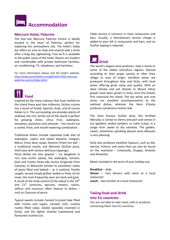

#### **Mercure Hotel, Palermo**

The four-star Mercure Palermo Centro is ideally located in the heart of Palermo, perfect for exploring this atmospheric city. The hotel's lobby bar offers an area to relax and unwind with a drink after a long day sightseeing. Free wi-fi is available in the public areas of the hotel. Rooms are modern and comfortable with private bathroom facilities, air conditioning, TV, telephone, and hairdryer.

For more information please visit the hotel's website: [http://www.accorhotels.com/gb/hotel-5932-mercure](http://www.accorhotels.com/gb/hotel-5932-mercure-palermo-centro/index.shtml)[palermo-centro/index.shtml](http://www.accorhotels.com/gb/hotel-5932-mercure-palermo-centro/index.shtml)



Inspired by the many cultures that have settled on the island these past two millennia, Sicilian cuisine has a touch of Greek, Spanish, Arab, and of course Italian to it. The surrounding sea provides plenty of seafood, the rich, fertile soil of the island is perfect for growing olives, citrus fruit, aubergine, tomatoes, pistachios and almonds – the results are a varied, fresh, and mouth-watering combination.

Traditional dishes include *Caponata* (side dish of aubergine, capers and sweet balsamic vinegar), *Maccu* (Fava bean soup), *Arancini* (fried rice ball – a traditional snack), and *Sfincione* (Sicilian pizza, thick base with various delicious toppings).

Pasta dishes are also popular – try *Spaghetti ai ricci* (sea urchin pasta), the aubergine, tomato, basil and ricotta *Pasta alla norma* (originally from Catania), or *Manicotti* (similar to *cannelloni,* tubes of pasta filled and baked)  $-$  as is seafood, freshly caught, served simply grilled, boiled or fried. As for meat, the most frequently seen are lamb and goat. A result of the Arab control of the island in the 10<sup>th</sup> and  $11<sup>th</sup>$  centuries, apricots, melons, raisins, saffron and couscous often feature in dishes – such as *Couscous al pesce.* 

Typical sweets include *Cannoli* (crusted tube filled with ricotta and sugar), *Cassata* (rich, creamy ricotta filled cake), *Gelato* (possibly invented in Sicily), and the lighter *Granita* (sweetened and flavoured crushed ice).

Table service is common in most restaurants and bars. Usually, a discretionary service charge is added to your bill in restaurants and bars, and no further tipping is required.



The world's largest wine producer, Italy is home to some of the oldest viticulture regions. Named according to their grape variety or after their village or area of origin, excellent wines are produced throughout Italy and Sicily, with local wines offering great value and quality. With an ideal climate and soil (thanks to Mount Edna) grapes have been grown in Sicily since the Greeks first colonised the island. The dry white and rosé wines are excellent accompaniments to the seafood dishes, whereas the Nero d'Avola produces sumptuous hearty reds.

The most famous Sicilian wine, the fortified *Marsala*, is similar to sherry and port and comes in *oro* (golden), *ambra* (amber), or *rubio* (ruby), in a range from sweet to dry varieties. The golden, sweet, sometimes sparkling dessert wine *Moscato* is very pleasing.

Sicily also produces excellent liqueurs, such as *Ala, Averna, Fichera,* and some that can also be found on the mainland – *Limoncello, Grappa, Anisette*  and *Amaretto.* 

Meals included in the price of your holiday are:

**Breakfast** – daily

**Dinner –** Two dinners with wine at a local restaurant

**Lunch** – two lunches at a local restaurant

# **Taking food and drink into EU countries**

You are not able to take meat, milk or products containing them into EU countries.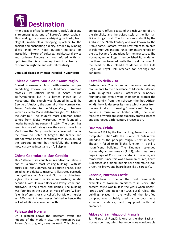

After decades of Mafia domination, Sicily's chief city is re-emerging as one of Europe's great capitals. This dazzling city presents intriguing contrasts, from elegant, middle-class shopping quarters to the ancient and enchanting old city, divided by winding alleys lined with noisy outdoor markets. Its incredible mixture of cultures, architectural styles and culinary flavours is now infused with an optimism that is expressing itself in a frenzy of restoration, nightlife and cultural creativity.

#### **Details of places of interest included in your tour:**

#### **Chiesa di Santa Maria dell'Ammiraglio**

Domed Norman-era church with ornate baroque emodelling known for its landmark Byzantine mosaics. Its official name is Santa Maria dell'Ammiraglio but it is better known as La Martorana. The church was founded in 1143 by George of Antioch, the admiral of the Norman King Roger. Dedicated to the Virgin Mary, it became known as Santa Maria dell'Ammiraglio, "St. Mary of the Admiral." The church's more common name comes from Eloisa Martorana, who founded a nearby Benedictine convent in 1194. The church has seen its share of history over the years: it was in La Martorana that Sicily's noblemen convened to offer the crown to Peter of Aragon. The facade and interior were altered considerably in 1588, during the baroque period, but thankfully the glorious mosaics survive intact and on full display.

#### **Chiesa Capitolare di San Cataldo**

This 12th-century church in Arab-Norman style is one of Palermo's most striking buildings. With its dusky-pink bijou domes, solid square shape, blind arcading and delicate tracery, it illustrates perfectly the synthesis of Arab and Norman architectural styles. The interior, while more austere, is still beautiful, with its inlaid floor and lovely stone-andbrickwork in the arches and domes. The building was founded in the 1150s by Maio of Bari (William I's emir of emirs, or chancellor), but Maio's murder in 1160 meant it was never finished – hence the lack of additional adornment within.

#### **Palazzo dei Normanni**

On a plateau above the incessant traffic and hubbub of the modern city, the Norman Palace, Palermo's stronghold, rises skyward. This piece of architecture offers a taste of the rich variety of art, the simplicity and the poised style of the Norman Sicilian kings' court. The fortress was rebuilt by the Arabs in the Ninth Century and was known by the Arabic name, Càssaro (which now refers to an area of Palermo). An ancient Punic-Roman stronghold on the site became foundations for the new castle. The Normans, under Roger II embellished it, rendering the then four towered castle the royal mansion. At the heart of this splendid residence, is the Aula Regia, or Royal Hall, reserved for hearings and banquets.

#### **Castello della Zisa**

Castello della Zisa is one of the only remaining monuments to the decadence of Moorish Palermo. With muqarnas vaults, latticework windows, fountains and even a wind chamber to protect the emir's family from the scirocco (the hot African wind), the villa deserves its name which comes from the Arabic al aziz, meaning 'magnificent'. Today it houses a museum of Arabic crafts, the main features of which are some superbly crafted screens and a gorgeous 12th- century bronze basin.

#### **Duomo, Cefalu**

Begun in 1131 by the Norman king Roger II and not completed until 1240, the Duomo of Cefalù was intended as the principal religious seat in Sicily. Though it failed to fulfill this function, it is still a magnificent building. The Duomo's splended Norman-Byzantine mosaics (1148), which feature a huge image of Christ Pantocrator in the apse, are remarkable. Since this was a Norman church, Christ is depicted as a blond; but his nose and mouth look Greek, his brows and beard black like a Saracen's.

#### **Caronia, Norman Castle**

This fortress is one of the most remarkable examples of Norman architecture in Sicily. The present castle was built in the years when Roger I (1031-1101) and Roger II (1095-1154) ruled. The building, placed in the walls of the fortified complex, was probably used by the court as a summer residence, and equipped with all amenities.

#### **Abbey of San Filippo di Fragala**

San Filippo di Fragalà is one of the first Basilian-Norman centres, which has undergone considerable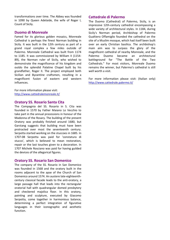transformations over time. The Abbey was founded in 1090 by Queen Adelaide, the wife of Roger I, Count of Sicily.

#### **Duomo di Monreale**

Famed for its glorious golden mosaics, Monreale Cathedral is perhaps the finest Norman building in Sicily. It was built in the 12th century as part of a grand royal complex a few miles outside of Palermo. Monreale Cathedral was built from 1174 to 1185. It was commissioned by William II (1154- 89), the Norman ruler of Sicily, who wished to demonstrate the magnificence of his kingdom and outdo the splendid Palatine Chapel built by his grandfather, Roger II. The project employed both Sicilian and Byzantine craftsmen, resulting in a magnificent fusion of eastern and western influences.

For more information please visit: <http://www.cattedralemonreale.it/>

#### **Oratory SS. Rosario Santa Cita**

The Compagnia del SS. Rosario in S. Cita was founded in 1570 by Father Maiano Lo Vecchio to take part in the annual processions in honour of the Madonna of the Rosary. The building of the present Oratory was probably finished around 1680, but Garstang suggests that building must have been protracted over most the seventeenth century. Serpotta started working on the stuccoes in 1685. In 1707-08 Serpotta was paid for 'constatura di stucco', which is believed to mean restoration, repair or the last touches given to a decoration. In 1707 Michele Rosciano was paid for having guilded the devices of the allegorical figures.

#### **Oratory SS. Rosario San Domenico**

The company of the SS. Rosario in San Domenico was founded in 1568 and the oratory built in the rooms adjacent to the apse of the Church of San Domenico around 1574. An austere late-eighteenthcentury classical facade leads to the anti-oratory, a large passage hall that leads into the rectangular oratorial hall with quadrangular domed presbytery and checkered majolica floor. In this oratory, painting and sculpture, executed by Giacomo Serpotta, come together in harmonious balance, determining a perfect integration of figurative languages in their iconographic and aesthetic function.

# **Cattedrale di Palermo**

The Duomo (Cathedral) of Palermo, Sicily, is an impressive 12th-century cathedral encompassing a wide variety of architectural styles. In 1184, during Sicily's Norman period, Archbishop of Palermo Gualtiero Offamiglio founded the cathedral on the site of a Muslim mosque, which had itself been built over an early Christian basilica. The archbishop's main aim was to surpass the glory of the magnificent cathedral of nearby Monreale, and the Palermo Duomo became an architectural battleground for "The Battle of the Two Cathedrals." For most visitors, Monreale Duomo remains the winner, but Palermo's cathedral is still well worth a visit.

For more information please visit: (Italian only) <http://www.cattedrale.palermo.it/>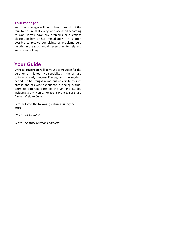#### **Tour manager**

Your tour manager will be on hand throughout the tour to ensure that everything operated according to plan. If you have any problems or questions please see him or her immediately  $-$  it is often possible to resolve complaints or problems very quickly on the spot, and do everything to help you enjoy your holiday.

# **Your Guide**

**Dr Peter Higginson** will be your expert guide for the duration of this tour. He specialises in the art and culture of early modern Europe, and the modern period. He has taught numerous university courses abroad and has wide experience in leading cultural tours to different parts of the UK and Europe including Sicily, Rome, Venice, Florence, Paris and further afield to Cuba.

Peter will give the following lectures during the tour:

*'The Art of Mosaics'*

*'Sicily, The other Norman Conquest'*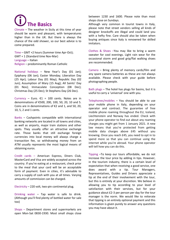**The Basics** 

Climate – The weather in Sicily at this time of year should be warm and pleasant, with temperatures higher than in the UK. But there is always the chance of the odd shower, so our best advice is to come prepared.

Time – GMT +2 hours (Summer time Apr-Oct); GMT + 1 (Standard time Nov-Mar) Language – Italian Religion – predominantly Roman Catholic

National holidays – New Year's Day (01 Jan); Epiphany (06 Jan); Easter Monday; Liberation Day (25 Apr); Labour Day (01 May); Republic Day (02 Jun); Assumption of Mary (15 Aug); All Saints' Day (01 Nov); Immaculate Conception (08 Dec); Christmas Day (25 Dec); St Stephens Day (26 Dec).

Currency – Euro.  $\epsilon$ 1 = 100 cents. Notes are in denominations of €500, 200, 100, 50, 20, 10 and 5. Coins are in denominations of  $E$ 2 and 1, and 50, 20, 10, 5, 2 and 1 cents.

Banks – Cashpoints compatible with international banking networks are located in all towns and cities, as well as airports, major train stations and other spots. They usually offer an attractive exchange rate. Those banks that still exchange foreign currencies into local money will always charge a transaction fee, so withdrawing money from an ATM usually represents the most logical means of obtaining euros.

Credit cards – American Express, Diners Club, MasterCard and Visa are widely accepted across the country. If you're eating at a restaurant, check prior to the meal that your card will be an acceptable form of payment. Even in cities, it's advisable to carry a supply of cash with you at all times. Varying amounts of commission can be charged.

Electricity – 220 volt, two-pin continental plug.

Drinking water – Tap water is safe to drink. (Although you'll find plenty of bottled water for sale too)

Shops – Department stores and supermarkets are open Mon-Sat 0830-1930. Most small shops close

between 1230 and 1600. Please note than most shops close on Sundays.

Although very common in tourist towns in Italy, please note that street vendors selling all kinds of designer knockoffs are illegal and could land you with a hefty fine. Care should also be taken when buying antiques since Italy is renowned for skilled imitators.

Clothes & Shoes –You may like to bring a warm sweater for cool evenings. Light rain wear for the occasional storm and good grip/flat walking shoes are recommended.

Camera – Bring plenty of memory cards/film and any spare camera batteries as these are not always available. Please check with your guide before photographing people.

Bath plugs – The hotel has plugs for basins, but it is useful to carry a 'universal' one with you.

Telephones/mobiles – You should be able to use your mobile phone in Italy, depending on your operator and contract. The guarantee of free mobile phone roaming throughout the EU, Iceland, Liechtenstein and Norway has ended. Check with your phone operator to find out about any roaming charges you might get from 1 January 2021. A new law means that you're protected from getting mobile data charges above £45 without you knowing. Once you reach £45, you need to opt in to spend more so that you can continue using the internet while you're abroad. Your phone operator will tell how you can do this.

Tipping –To keep our tours affordable, we do not increase the tour price by adding in tips. However, in the tourism industry, there is a certain level of expectation that when receiving a good service, one does award with a tip. Tour Managers, Representatives, Guides and Drivers appreciate a tip at the end of their involvement with the tour, but this is entirely at your discretion. We believe in allowing you to tip according to your level of satisfaction with their services, but for your guidance about £2-3 per person per day for the tour manager is the norm. We would like to reiterate that tipping is an entirely optional payment and this information is given purely to answer any questions you may have about it.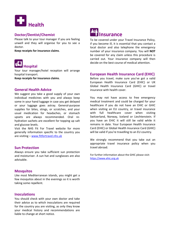

# **Doctor/Dentist/Chemist**

Please talk to your tour manager if you are feeling unwell and they will organise for you to see a doctor.

**Keep receipts for insurance claims**.

![](_page_7_Picture_4.jpeg)

Your tour manager/hotel reception will arrange hospital transport.

**Keep receipts for insurance claims**.

#### **General Health Advice**

We suggest you take a good supply of your own individual medicines with you and always keep some in your hand luggage in case you get delayed or your luggage goes astray. General-purpose supplies for bites, stings, or scratches, and your usual medication for headaches, or stomach upsets are always recommended. Oral rehydration sachets are excellent for topping up salt and glucose levels.

Visit the NHS Fit For Travel website for more generally information specific to the country you are visiting – [www.fitfortravel.nhs.uk](http://www.fitfortravel.nhs.uk/)

#### **Sun Protection**

Always ensure you take sufficient sun protection and moisturiser. A sun hat and sunglasses are also advisable.

#### **Mosquitos**

Like most Mediterranean islands, you might get a few mosquitos about in the evenings so it is worth taking some repellent.

#### **Inoculations**

You should check with your own doctor and take their advice as to which inoculations are required for the country you are visiting, as only they know your medical history and recommendations are liable to change at short notice.

![](_page_7_Picture_16.jpeg)

To be covered under your Travel Insurance Policy, if you become ill, it is essential that you contact a local doctor and also telephone the emergency number of your insurance company. You will **NOT** be covered for any claim unless this procedure is carried out. Your insurance company will then decide on the best course of medical attention.

#### **European Health Insurance Card (EHIC)**

Before you travel, make sure you've got a valid European Health Insurance Card (EHIC) or UK Global Health Insurance Card (GHIC) or travel insurance with health cover.

You may not have access to free emergency medical treatment and could be charged for your healthcare if you do not have an EHIC or GHIC when visiting an EU country, or travel insurance with full healthcare cover when visiting Switzerland, Norway, Iceland or Liechtenstein. If you have an EHIC it will still be valid while it remains in date. Your European Health Insurance Card (EHIC) or Global Health Insurance Card (GHIC) will be valid if you're travelling to an EU country.

We strongly recommend that you take out an appropriate travel insurance policy when you travel abroad.

For further information about the GHIC please visit: [https://www.ehic.org.uk](https://www.ehic.org.uk/)